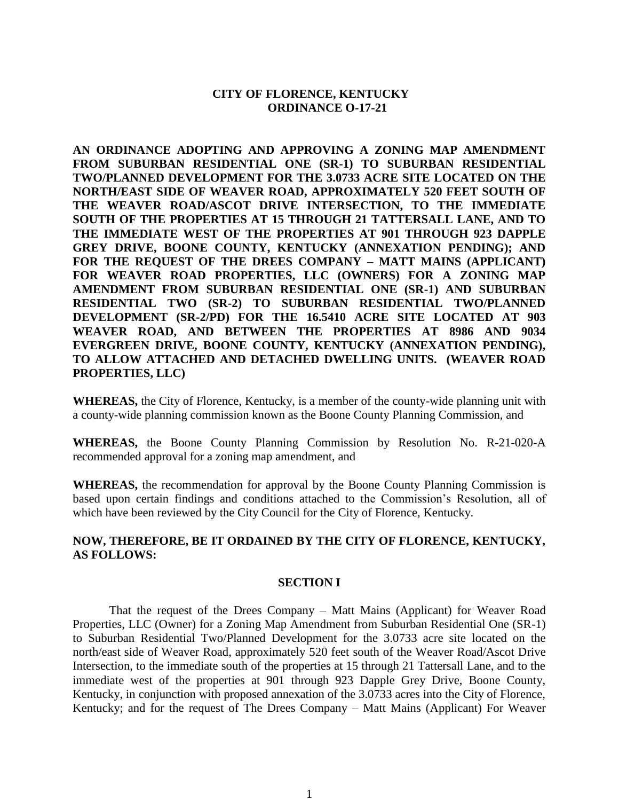### **CITY OF FLORENCE, KENTUCKY ORDINANCE O-17-21**

**AN ORDINANCE ADOPTING AND APPROVING A ZONING MAP AMENDMENT FROM SUBURBAN RESIDENTIAL ONE (SR-1) TO SUBURBAN RESIDENTIAL TWO/PLANNED DEVELOPMENT FOR THE 3.0733 ACRE SITE LOCATED ON THE NORTH/EAST SIDE OF WEAVER ROAD, APPROXIMATELY 520 FEET SOUTH OF THE WEAVER ROAD/ASCOT DRIVE INTERSECTION, TO THE IMMEDIATE SOUTH OF THE PROPERTIES AT 15 THROUGH 21 TATTERSALL LANE, AND TO THE IMMEDIATE WEST OF THE PROPERTIES AT 901 THROUGH 923 DAPPLE GREY DRIVE, BOONE COUNTY, KENTUCKY (ANNEXATION PENDING); AND FOR THE REQUEST OF THE DREES COMPANY – MATT MAINS (APPLICANT) FOR WEAVER ROAD PROPERTIES, LLC (OWNERS) FOR A ZONING MAP AMENDMENT FROM SUBURBAN RESIDENTIAL ONE (SR-1) AND SUBURBAN RESIDENTIAL TWO (SR-2) TO SUBURBAN RESIDENTIAL TWO/PLANNED DEVELOPMENT (SR-2/PD) FOR THE 16.5410 ACRE SITE LOCATED AT 903 WEAVER ROAD, AND BETWEEN THE PROPERTIES AT 8986 AND 9034 EVERGREEN DRIVE, BOONE COUNTY, KENTUCKY (ANNEXATION PENDING), TO ALLOW ATTACHED AND DETACHED DWELLING UNITS. (WEAVER ROAD PROPERTIES, LLC)**

**WHEREAS,** the City of Florence, Kentucky, is a member of the county-wide planning unit with a county-wide planning commission known as the Boone County Planning Commission, and

**WHEREAS,** the Boone County Planning Commission by Resolution No. R-21-020-A recommended approval for a zoning map amendment, and

**WHEREAS,** the recommendation for approval by the Boone County Planning Commission is based upon certain findings and conditions attached to the Commission's Resolution, all of which have been reviewed by the City Council for the City of Florence, Kentucky.

## **NOW, THEREFORE, BE IT ORDAINED BY THE CITY OF FLORENCE, KENTUCKY, AS FOLLOWS:**

#### **SECTION I**

That the request of the Drees Company – Matt Mains (Applicant) for Weaver Road Properties, LLC (Owner) for a Zoning Map Amendment from Suburban Residential One (SR-1) to Suburban Residential Two/Planned Development for the 3.0733 acre site located on the north/east side of Weaver Road, approximately 520 feet south of the Weaver Road/Ascot Drive Intersection, to the immediate south of the properties at 15 through 21 Tattersall Lane, and to the immediate west of the properties at 901 through 923 Dapple Grey Drive, Boone County, Kentucky, in conjunction with proposed annexation of the 3.0733 acres into the City of Florence, Kentucky; and for the request of The Drees Company – Matt Mains (Applicant) For Weaver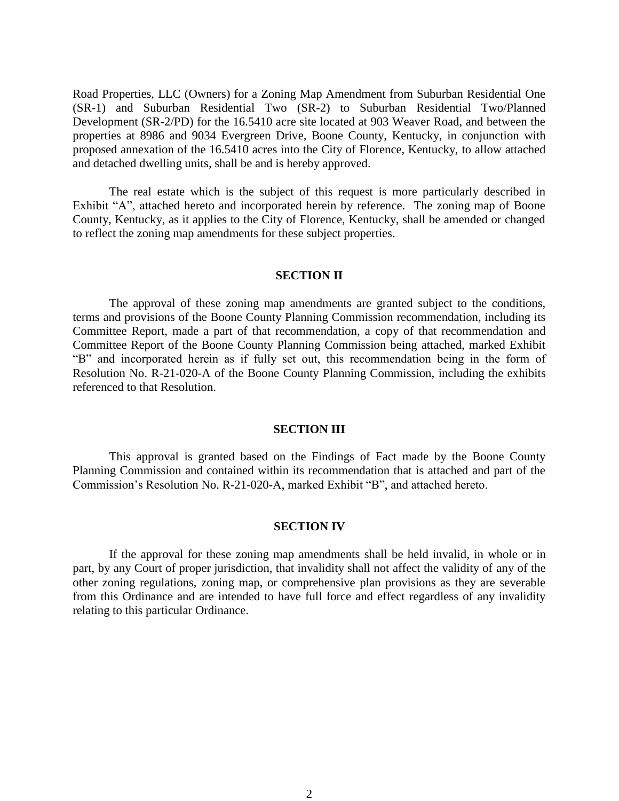Road Properties, LLC (Owners) for a Zoning Map Amendment from Suburban Residential One (SR-1) and Suburban Residential Two (SR-2) to Suburban Residential Two/Planned Development (SR-2/PD) for the 16.5410 acre site located at 903 Weaver Road, and between the properties at 8986 and 9034 Evergreen Drive, Boone County, Kentucky, in conjunction with proposed annexation of the 16.5410 acres into the City of Florence, Kentucky, to allow attached and detached dwelling units, shall be and is hereby approved.

The real estate which is the subject of this request is more particularly described in Exhibit "A", attached hereto and incorporated herein by reference. The zoning map of Boone County, Kentucky, as it applies to the City of Florence, Kentucky, shall be amended or changed to reflect the zoning map amendments for these subject properties.

### **SECTION II**

The approval of these zoning map amendments are granted subject to the conditions, terms and provisions of the Boone County Planning Commission recommendation, including its Committee Report, made a part of that recommendation, a copy of that recommendation and Committee Report of the Boone County Planning Commission being attached, marked Exhibit "B" and incorporated herein as if fully set out, this recommendation being in the form of Resolution No. R-21-020-A of the Boone County Planning Commission, including the exhibits referenced to that Resolution.

### **SECTION III**

This approval is granted based on the Findings of Fact made by the Boone County Planning Commission and contained within its recommendation that is attached and part of the Commission's Resolution No. R-21-020-A, marked Exhibit "B", and attached hereto.

#### **SECTION IV**

If the approval for these zoning map amendments shall be held invalid, in whole or in part, by any Court of proper jurisdiction, that invalidity shall not affect the validity of any of the other zoning regulations, zoning map, or comprehensive plan provisions as they are severable from this Ordinance and are intended to have full force and effect regardless of any invalidity relating to this particular Ordinance.